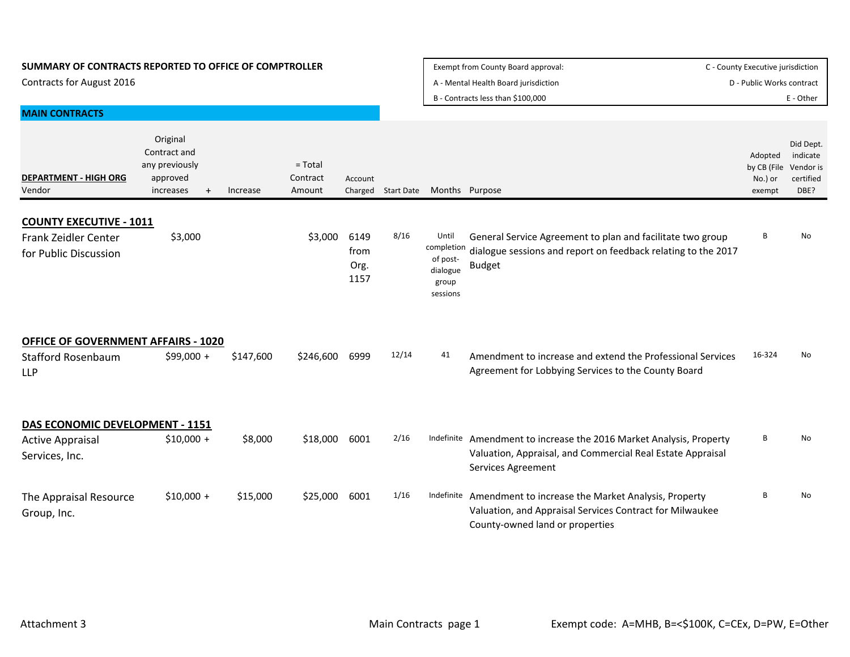| SUMMARY OF CONTRACTS REPORTED TO OFFICE OF COMPTROLLER | Exempt from County Board approval:   | C - County Executive jurisdiction |
|--------------------------------------------------------|--------------------------------------|-----------------------------------|
| Contracts for August 2016                              | A - Mental Health Board jurisdiction | D - Public Works contract         |
|                                                        | B - Contracts less than \$100,000    | : - Other                         |

| <b>MAIN CONTRACTS</b>                                                                 |                                                                                  |           |                                 |                              |                    |                                                                  |                                                                                                                                                         |                                             |                                                         |
|---------------------------------------------------------------------------------------|----------------------------------------------------------------------------------|-----------|---------------------------------|------------------------------|--------------------|------------------------------------------------------------------|---------------------------------------------------------------------------------------------------------------------------------------------------------|---------------------------------------------|---------------------------------------------------------|
| <b>DEPARTMENT - HIGH ORG</b><br>Vendor                                                | Original<br>Contract and<br>any previously<br>approved<br>increases<br>$\ddot{}$ | Increase  | $=$ Total<br>Contract<br>Amount | Account                      | Charged Start Date | Months Purpose                                                   |                                                                                                                                                         | Adopted<br>by CB (File<br>No.) or<br>exempt | Did Dept.<br>indicate<br>Vendor is<br>certified<br>DBE? |
| <b>COUNTY EXECUTIVE - 1011</b><br>Frank Zeidler Center<br>for Public Discussion       | \$3,000                                                                          |           | \$3,000                         | 6149<br>from<br>Org.<br>1157 | 8/16               | Until<br>completion<br>of post-<br>dialogue<br>group<br>sessions | General Service Agreement to plan and facilitate two group<br>dialogue sessions and report on feedback relating to the 2017<br><b>Budget</b>            | B                                           | No                                                      |
| <b>OFFICE OF GOVERNMENT AFFAIRS - 1020</b><br><b>Stafford Rosenbaum</b><br><b>LLP</b> | $$99,000 +$                                                                      | \$147,600 | \$246,600                       | 6999                         | 12/14              | 41                                                               | Amendment to increase and extend the Professional Services<br>Agreement for Lobbying Services to the County Board                                       | 16-324                                      | No.                                                     |
| DAS ECONOMIC DEVELOPMENT - 1151<br><b>Active Appraisal</b><br>Services, Inc.          | $$10,000 +$                                                                      | \$8,000   | \$18,000                        | 6001                         | 2/16               |                                                                  | Indefinite Amendment to increase the 2016 Market Analysis, Property<br>Valuation, Appraisal, and Commercial Real Estate Appraisal<br>Services Agreement | B                                           | No                                                      |
| The Appraisal Resource<br>Group, Inc.                                                 | $$10,000 +$                                                                      | \$15,000  | \$25,000                        | 6001                         | 1/16               | Indefinite                                                       | Amendment to increase the Market Analysis, Property<br>Valuation, and Appraisal Services Contract for Milwaukee<br>County-owned land or properties      | B                                           | No                                                      |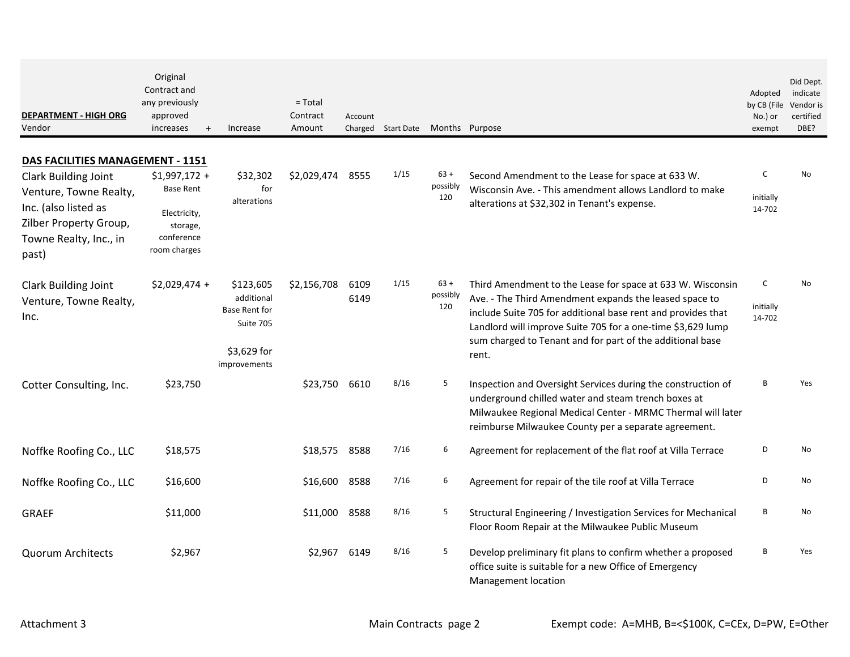| <b>DEPARTMENT - HIGH ORG</b><br>Vendor                | Original<br>Contract and<br>any previously<br>approved<br>increases<br>$\overline{+}$ | Increase                                 | $=$ Total<br>Contract<br>Amount | Account      | Charged Start Date |                           | Months Purpose                                                                                                                                                                                                                             | Adopted<br>by CB (File<br>No.) or<br>exempt | Did Dept.<br>indicate<br>Vendor is<br>certified<br>DBE? |
|-------------------------------------------------------|---------------------------------------------------------------------------------------|------------------------------------------|---------------------------------|--------------|--------------------|---------------------------|--------------------------------------------------------------------------------------------------------------------------------------------------------------------------------------------------------------------------------------------|---------------------------------------------|---------------------------------------------------------|
| <b>DAS FACILITIES MANAGEMENT - 1151</b>               |                                                                                       |                                          |                                 |              |                    |                           |                                                                                                                                                                                                                                            |                                             |                                                         |
| <b>Clark Building Joint</b>                           | $$1,997,172 +$                                                                        | \$32,302                                 | \$2,029,474                     | 8555         | 1/15               | $63 +$<br>possibly        | Second Amendment to the Lease for space at 633 W.                                                                                                                                                                                          | C                                           | No                                                      |
| Venture, Towne Realty,                                | <b>Base Rent</b>                                                                      | for<br>alterations                       |                                 |              |                    | 120                       | Wisconsin Ave. - This amendment allows Landlord to make<br>alterations at \$32,302 in Tenant's expense.                                                                                                                                    | initially                                   |                                                         |
| Inc. (also listed as<br>Zilber Property Group,        | Electricity,<br>storage,                                                              |                                          |                                 |              |                    |                           |                                                                                                                                                                                                                                            | 14-702                                      |                                                         |
| Towne Realty, Inc., in<br>past)                       | conference<br>room charges                                                            |                                          |                                 |              |                    |                           |                                                                                                                                                                                                                                            |                                             |                                                         |
| <b>Clark Building Joint</b><br>Venture, Towne Realty, | $$2,029,474 +$                                                                        | \$123,605<br>additional<br>Base Rent for | \$2,156,708                     | 6109<br>6149 | 1/15               | $63 +$<br>possibly<br>120 | Third Amendment to the Lease for space at 633 W. Wisconsin<br>Ave. - The Third Amendment expands the leased space to                                                                                                                       | C<br>initially                              | No                                                      |
| Inc.                                                  |                                                                                       | Suite 705                                |                                 |              |                    |                           | include Suite 705 for additional base rent and provides that<br>Landlord will improve Suite 705 for a one-time \$3,629 lump<br>sum charged to Tenant and for part of the additional base                                                   | 14-702                                      |                                                         |
|                                                       |                                                                                       | \$3,629 for<br>improvements              |                                 |              |                    |                           | rent.                                                                                                                                                                                                                                      |                                             |                                                         |
| Cotter Consulting, Inc.                               | \$23,750                                                                              |                                          | \$23,750                        | 6610         | 8/16               | 5                         | Inspection and Oversight Services during the construction of<br>underground chilled water and steam trench boxes at<br>Milwaukee Regional Medical Center - MRMC Thermal will later<br>reimburse Milwaukee County per a separate agreement. | B                                           | Yes                                                     |
| Noffke Roofing Co., LLC                               | \$18,575                                                                              |                                          | \$18,575                        | 8588         | 7/16               | 6                         | Agreement for replacement of the flat roof at Villa Terrace                                                                                                                                                                                | D                                           | No                                                      |
| Noffke Roofing Co., LLC                               | \$16,600                                                                              |                                          | \$16,600                        | 8588         | 7/16               | 6                         | Agreement for repair of the tile roof at Villa Terrace                                                                                                                                                                                     | D                                           | No                                                      |
| <b>GRAEF</b>                                          | \$11,000                                                                              |                                          | \$11,000                        | 8588         | 8/16               | 5                         | Structural Engineering / Investigation Services for Mechanical<br>Floor Room Repair at the Milwaukee Public Museum                                                                                                                         | В                                           | No                                                      |
| <b>Quorum Architects</b>                              | \$2,967                                                                               |                                          | \$2,967                         | 6149         | 8/16               | 5                         | Develop preliminary fit plans to confirm whether a proposed<br>office suite is suitable for a new Office of Emergency<br>Management location                                                                                               | B                                           | Yes                                                     |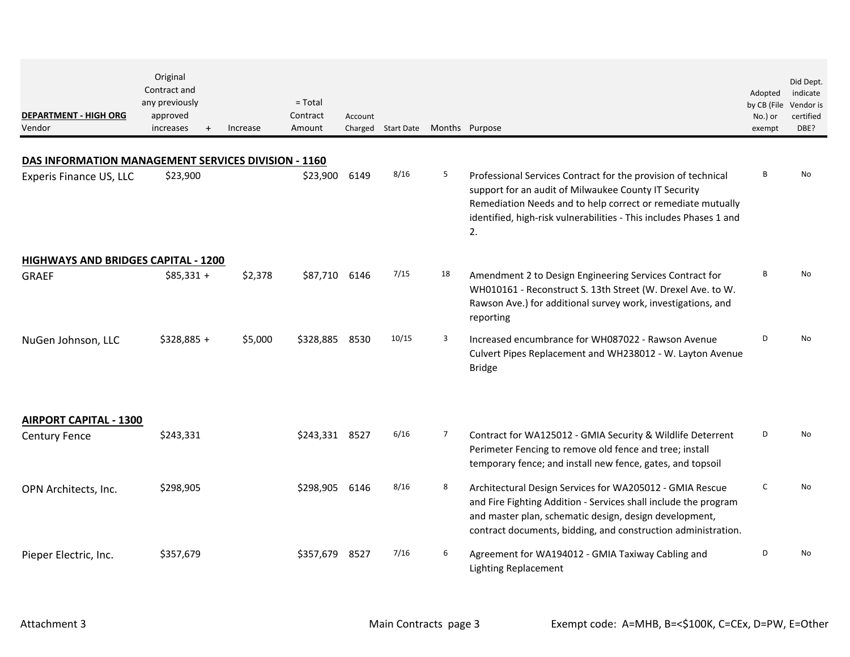| <b>DEPARTMENT - HIGH ORG</b><br>Vendor              | Original<br>Contract and<br>any previously<br>approved<br>increases | $\ddot{}$ | Increase | $=$ Total<br>Contract<br>Amount | Account | Charged Start Date |    | Months Purpose                                                                                                                                                                                                                                                   | Adopted<br>by CB (File<br>No.) or<br>exempt | Did Dept.<br>indicate<br>Vendor is<br>certified<br>DBE? |
|-----------------------------------------------------|---------------------------------------------------------------------|-----------|----------|---------------------------------|---------|--------------------|----|------------------------------------------------------------------------------------------------------------------------------------------------------------------------------------------------------------------------------------------------------------------|---------------------------------------------|---------------------------------------------------------|
| DAS INFORMATION MANAGEMENT SERVICES DIVISION - 1160 |                                                                     |           |          |                                 |         |                    |    |                                                                                                                                                                                                                                                                  |                                             |                                                         |
| Experis Finance US, LLC                             | \$23,900                                                            |           |          | \$23,900                        | 6149    | 8/16               | 5  | Professional Services Contract for the provision of technical<br>support for an audit of Milwaukee County IT Security<br>Remediation Needs and to help correct or remediate mutually<br>identified, high-risk vulnerabilities - This includes Phases 1 and<br>2. | B                                           | No                                                      |
| <b>HIGHWAYS AND BRIDGES CAPITAL - 1200</b>          |                                                                     |           |          |                                 |         |                    |    |                                                                                                                                                                                                                                                                  |                                             |                                                         |
| <b>GRAEF</b>                                        | $$85,331 +$                                                         |           | \$2,378  | \$87,710 6146                   |         | 7/15               | 18 | Amendment 2 to Design Engineering Services Contract for<br>WH010161 - Reconstruct S. 13th Street (W. Drexel Ave. to W.<br>Rawson Ave.) for additional survey work, investigations, and<br>reporting                                                              | B                                           | <b>No</b>                                               |
| NuGen Johnson, LLC                                  | $$328,885 +$                                                        |           | \$5,000  | \$328,885                       | 8530    | 10/15              | 3  | Increased encumbrance for WH087022 - Rawson Avenue<br>Culvert Pipes Replacement and WH238012 - W. Layton Avenue<br><b>Bridge</b>                                                                                                                                 | D                                           | No                                                      |
| <b>AIRPORT CAPITAL - 1300</b>                       |                                                                     |           |          |                                 |         |                    |    |                                                                                                                                                                                                                                                                  |                                             |                                                         |
| <b>Century Fence</b>                                | \$243,331                                                           |           |          | \$243,331                       | 8527    | 6/16               | 7  | Contract for WA125012 - GMIA Security & Wildlife Deterrent<br>Perimeter Fencing to remove old fence and tree; install<br>temporary fence; and install new fence, gates, and topsoil                                                                              | D                                           | No                                                      |
| OPN Architects, Inc.                                | \$298,905                                                           |           |          | \$298,905                       | 6146    | 8/16               | 8  | Architectural Design Services for WA205012 - GMIA Rescue<br>and Fire Fighting Addition - Services shall include the program<br>and master plan, schematic design, design development,<br>contract documents, bidding, and construction administration.           | $\mathsf{C}$                                | <b>No</b>                                               |
| Pieper Electric, Inc.                               | \$357,679                                                           |           |          | \$357,679                       | 8527    | 7/16               | 6  | Agreement for WA194012 - GMIA Taxiway Cabling and<br><b>Lighting Replacement</b>                                                                                                                                                                                 | D                                           | No                                                      |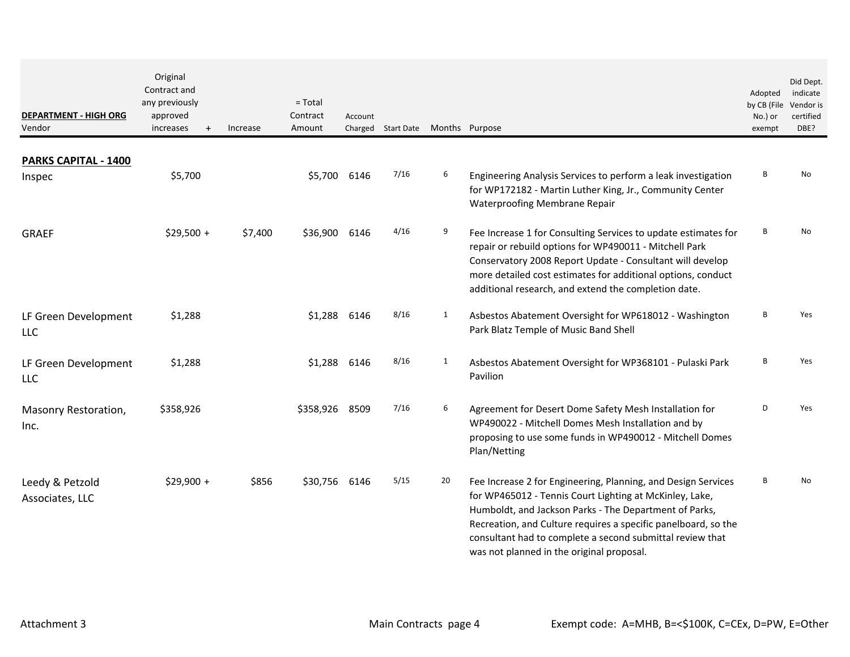| <b>DEPARTMENT - HIGH ORG</b><br>Vendor | Original<br>Contract and<br>any previously<br>approved<br>increases<br>$+$ | Increase | $=$ Total<br>Contract<br>Amount | Account      | Charged Start Date |              | Months Purpose                                                                                                                                                                                                                                                                                                                                                 | Adopted<br>by CB (File<br>No.) or<br>exempt | Did Dept.<br>indicate<br>Vendor is<br>certified<br>DBE? |
|----------------------------------------|----------------------------------------------------------------------------|----------|---------------------------------|--------------|--------------------|--------------|----------------------------------------------------------------------------------------------------------------------------------------------------------------------------------------------------------------------------------------------------------------------------------------------------------------------------------------------------------------|---------------------------------------------|---------------------------------------------------------|
| PARKS CAPITAL - 1400                   |                                                                            |          |                                 |              |                    |              |                                                                                                                                                                                                                                                                                                                                                                |                                             |                                                         |
| Inspec                                 | \$5,700                                                                    |          |                                 | \$5,700 6146 | 7/16               | 6            | Engineering Analysis Services to perform a leak investigation<br>for WP172182 - Martin Luther King, Jr., Community Center<br>Waterproofing Membrane Repair                                                                                                                                                                                                     | В                                           | No                                                      |
| <b>GRAEF</b>                           | $$29,500 +$                                                                | \$7,400  | \$36,900 6146                   |              | 4/16               | 9            | Fee Increase 1 for Consulting Services to update estimates for<br>repair or rebuild options for WP490011 - Mitchell Park<br>Conservatory 2008 Report Update - Consultant will develop<br>more detailed cost estimates for additional options, conduct<br>additional research, and extend the completion date.                                                  | В                                           | No                                                      |
| LF Green Development<br><b>LLC</b>     | \$1,288                                                                    |          | \$1,288                         | 6146         | 8/16               | $\mathbf{1}$ | Asbestos Abatement Oversight for WP618012 - Washington<br>Park Blatz Temple of Music Band Shell                                                                                                                                                                                                                                                                | B                                           | Yes                                                     |
| LF Green Development<br>LLC.           | \$1,288                                                                    |          | \$1,288                         | 6146         | 8/16               | $\mathbf{1}$ | Asbestos Abatement Oversight for WP368101 - Pulaski Park<br>Pavilion                                                                                                                                                                                                                                                                                           | B                                           | Yes                                                     |
| Masonry Restoration,<br>Inc.           | \$358,926                                                                  |          | \$358,926                       | 8509         | 7/16               | 6            | Agreement for Desert Dome Safety Mesh Installation for<br>WP490022 - Mitchell Domes Mesh Installation and by<br>proposing to use some funds in WP490012 - Mitchell Domes<br>Plan/Netting                                                                                                                                                                       | D                                           | Yes                                                     |
| Leedy & Petzold<br>Associates, LLC     | $$29,900 +$                                                                | \$856    | \$30,756 6146                   |              | 5/15               | 20           | Fee Increase 2 for Engineering, Planning, and Design Services<br>for WP465012 - Tennis Court Lighting at McKinley, Lake,<br>Humboldt, and Jackson Parks - The Department of Parks,<br>Recreation, and Culture requires a specific panelboard, so the<br>consultant had to complete a second submittal review that<br>was not planned in the original proposal. | B                                           | <b>No</b>                                               |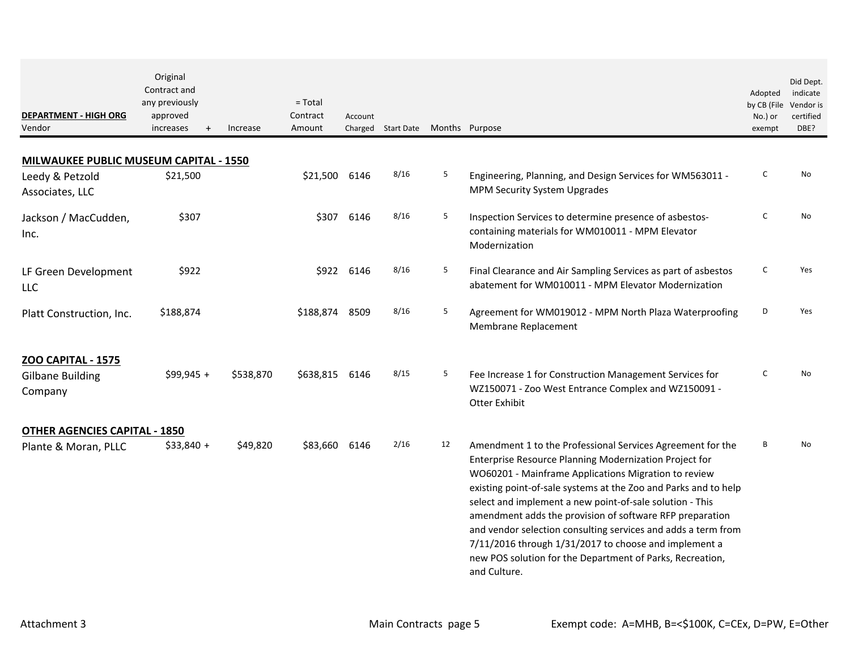| <b>DEPARTMENT - HIGH ORG</b><br>Vendor | Original<br>Contract and<br>any previously<br>approved<br>increases | Increase<br>$+$ | $=$ Total<br>Contract<br>Amount | Account    | Charged Start Date |    | Months Purpose                                                                                                                                                                                                                                                                                                                                                                                                                                                                                                                                                                 | Adopted<br>by CB (File<br>No.) or<br>exempt | Did Dept.<br>indicate<br>Vendor is<br>certified<br>DBE? |
|----------------------------------------|---------------------------------------------------------------------|-----------------|---------------------------------|------------|--------------------|----|--------------------------------------------------------------------------------------------------------------------------------------------------------------------------------------------------------------------------------------------------------------------------------------------------------------------------------------------------------------------------------------------------------------------------------------------------------------------------------------------------------------------------------------------------------------------------------|---------------------------------------------|---------------------------------------------------------|
| MILWAUKEE PUBLIC MUSEUM CAPITAL - 1550 |                                                                     |                 |                                 |            |                    |    |                                                                                                                                                                                                                                                                                                                                                                                                                                                                                                                                                                                |                                             |                                                         |
| Leedy & Petzold<br>Associates, LLC     | \$21,500                                                            |                 | \$21,500                        | 6146       | 8/16               | 5  | Engineering, Planning, and Design Services for WM563011 -<br>MPM Security System Upgrades                                                                                                                                                                                                                                                                                                                                                                                                                                                                                      | C                                           | No                                                      |
| Jackson / MacCudden,<br>Inc.           | \$307                                                               |                 | \$307                           | 6146       | 8/16               | 5  | Inspection Services to determine presence of asbestos-<br>containing materials for WM010011 - MPM Elevator<br>Modernization                                                                                                                                                                                                                                                                                                                                                                                                                                                    | C                                           | No                                                      |
| LF Green Development<br><b>LLC</b>     | \$922                                                               |                 |                                 | \$922 6146 | 8/16               | 5  | Final Clearance and Air Sampling Services as part of asbestos<br>abatement for WM010011 - MPM Elevator Modernization                                                                                                                                                                                                                                                                                                                                                                                                                                                           | C                                           | Yes                                                     |
| Platt Construction, Inc.               | \$188,874                                                           |                 | \$188,874                       | 8509       | 8/16               | 5  | Agreement for WM019012 - MPM North Plaza Waterproofing<br>Membrane Replacement                                                                                                                                                                                                                                                                                                                                                                                                                                                                                                 | D                                           | Yes                                                     |
| <b>ZOO CAPITAL - 1575</b>              |                                                                     |                 |                                 |            |                    |    |                                                                                                                                                                                                                                                                                                                                                                                                                                                                                                                                                                                |                                             |                                                         |
| <b>Gilbane Building</b><br>Company     | $$99,945 +$                                                         | \$538,870       | \$638,815                       | 6146       | 8/15               | 5  | Fee Increase 1 for Construction Management Services for<br>WZ150071 - Zoo West Entrance Complex and WZ150091 -<br><b>Otter Exhibit</b>                                                                                                                                                                                                                                                                                                                                                                                                                                         | C                                           | No                                                      |
| <b>OTHER AGENCIES CAPITAL - 1850</b>   |                                                                     |                 |                                 |            |                    |    |                                                                                                                                                                                                                                                                                                                                                                                                                                                                                                                                                                                |                                             |                                                         |
| Plante & Moran, PLLC                   | $$33,840 +$                                                         | \$49,820        | \$83,660 6146                   |            | 2/16               | 12 | Amendment 1 to the Professional Services Agreement for the<br>Enterprise Resource Planning Modernization Project for<br>WO60201 - Mainframe Applications Migration to review<br>existing point-of-sale systems at the Zoo and Parks and to help<br>select and implement a new point-of-sale solution - This<br>amendment adds the provision of software RFP preparation<br>and vendor selection consulting services and adds a term from<br>7/11/2016 through 1/31/2017 to choose and implement a<br>new POS solution for the Department of Parks, Recreation,<br>and Culture. | B                                           | No                                                      |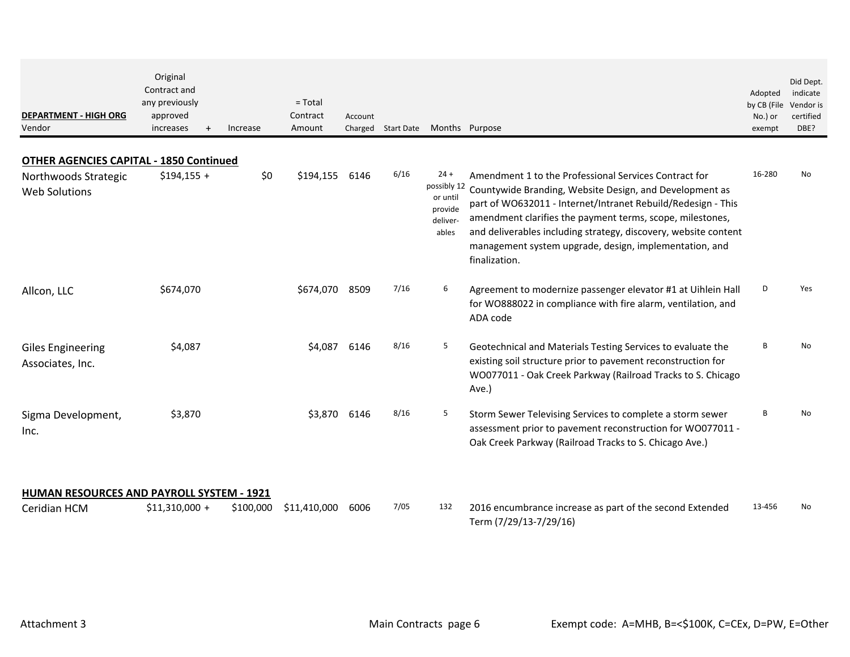| <b>DEPARTMENT - HIGH ORG</b><br>Vendor           | Original<br>Contract and<br>any previously<br>approved<br>increases<br>$\ddot{}$ | Increase  | $=$ Total<br>Contract<br>Amount | Account |      | Charged Start Date Months Purpose                                 |                                                                                                                                                                                                                                                                                                                                                                                             | Adopted<br>by CB (File<br>No.) or<br>exempt | Did Dept.<br>indicate<br>Vendor is<br>certified<br>DBE? |
|--------------------------------------------------|----------------------------------------------------------------------------------|-----------|---------------------------------|---------|------|-------------------------------------------------------------------|---------------------------------------------------------------------------------------------------------------------------------------------------------------------------------------------------------------------------------------------------------------------------------------------------------------------------------------------------------------------------------------------|---------------------------------------------|---------------------------------------------------------|
| <b>OTHER AGENCIES CAPITAL - 1850 Continued</b>   |                                                                                  |           |                                 |         |      |                                                                   |                                                                                                                                                                                                                                                                                                                                                                                             |                                             |                                                         |
| Northwoods Strategic<br><b>Web Solutions</b>     | $$194,155 +$                                                                     | \$0       | \$194,155                       | 6146    | 6/16 | $24 +$<br>possibly 12<br>or until<br>provide<br>deliver-<br>ables | Amendment 1 to the Professional Services Contract for<br>Countywide Branding, Website Design, and Development as<br>part of WO632011 - Internet/Intranet Rebuild/Redesign - This<br>amendment clarifies the payment terms, scope, milestones,<br>and deliverables including strategy, discovery, website content<br>management system upgrade, design, implementation, and<br>finalization. | 16-280                                      | No                                                      |
| Allcon, LLC                                      | \$674,070                                                                        |           | \$674,070                       | 8509    | 7/16 | 6                                                                 | Agreement to modernize passenger elevator #1 at Uihlein Hall<br>for WO888022 in compliance with fire alarm, ventilation, and<br>ADA code                                                                                                                                                                                                                                                    | D                                           | Yes                                                     |
| <b>Giles Engineering</b><br>Associates, Inc.     | \$4,087                                                                          |           | \$4,087                         | 6146    | 8/16 | 5                                                                 | Geotechnical and Materials Testing Services to evaluate the<br>existing soil structure prior to pavement reconstruction for<br>WO077011 - Oak Creek Parkway (Railroad Tracks to S. Chicago<br>Ave.)                                                                                                                                                                                         | B                                           | No                                                      |
| Sigma Development,<br>Inc.                       | \$3,870                                                                          |           | \$3,870                         | 6146    | 8/16 | 5                                                                 | Storm Sewer Televising Services to complete a storm sewer<br>assessment prior to pavement reconstruction for WO077011 -<br>Oak Creek Parkway (Railroad Tracks to S. Chicago Ave.)                                                                                                                                                                                                           | B                                           | No                                                      |
| <b>HUMAN RESOURCES AND PAYROLL SYSTEM - 1921</b> |                                                                                  |           |                                 |         |      |                                                                   |                                                                                                                                                                                                                                                                                                                                                                                             |                                             |                                                         |
| Ceridian HCM                                     | $$11,310,000 +$                                                                  | \$100,000 | \$11,410,000                    | 6006    | 7/05 | 132                                                               | 2016 encumbrance increase as part of the second Extended<br>Term (7/29/13-7/29/16)                                                                                                                                                                                                                                                                                                          | 13-456                                      | No                                                      |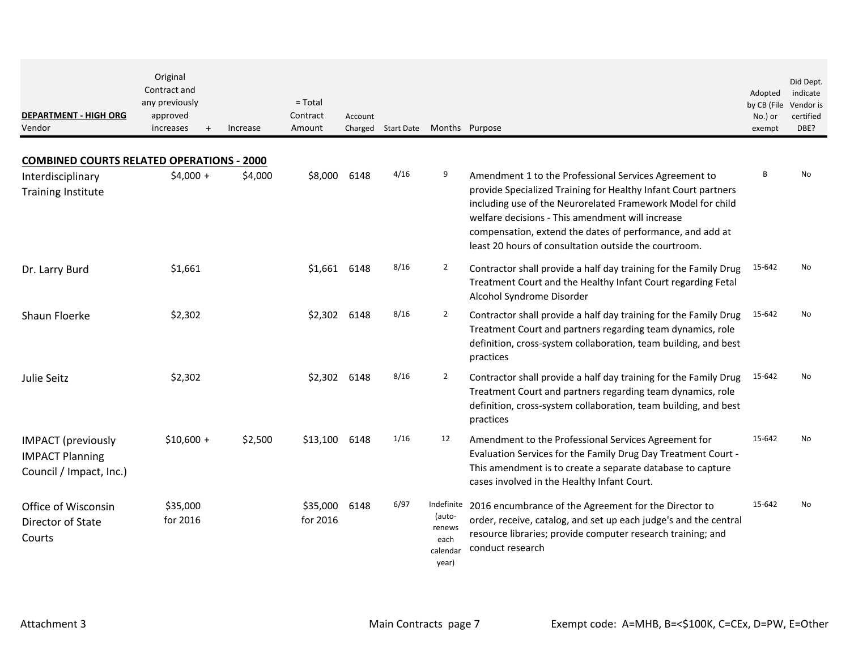| <b>DEPARTMENT - HIGH ORG</b><br>Vendor                                         | Original<br>Contract and<br>any previously<br>approved<br>increases<br>$\ddot{}$ | Increase | $=$ Total<br>Contract<br>Amount | Account<br>Charged | Start Date |                                                             | Months Purpose                                                                                                                                                                                                                                                                                                                                                   | Adopted<br>by CB (File<br>No.) or<br>exempt | Did Dept.<br>indicate<br>Vendor is<br>certified<br>DBE? |
|--------------------------------------------------------------------------------|----------------------------------------------------------------------------------|----------|---------------------------------|--------------------|------------|-------------------------------------------------------------|------------------------------------------------------------------------------------------------------------------------------------------------------------------------------------------------------------------------------------------------------------------------------------------------------------------------------------------------------------------|---------------------------------------------|---------------------------------------------------------|
| <b>COMBINED COURTS RELATED OPERATIONS - 2000</b>                               |                                                                                  |          |                                 |                    |            |                                                             |                                                                                                                                                                                                                                                                                                                                                                  |                                             |                                                         |
| Interdisciplinary<br><b>Training Institute</b>                                 | $$4,000 +$                                                                       | \$4,000  | \$8,000                         | 6148               | 4/16       | 9                                                           | Amendment 1 to the Professional Services Agreement to<br>provide Specialized Training for Healthy Infant Court partners<br>including use of the Neurorelated Framework Model for child<br>welfare decisions - This amendment will increase<br>compensation, extend the dates of performance, and add at<br>least 20 hours of consultation outside the courtroom. | B                                           | No                                                      |
| Dr. Larry Burd                                                                 | \$1,661                                                                          |          | \$1,661                         | 6148               | 8/16       | $\overline{2}$                                              | Contractor shall provide a half day training for the Family Drug<br>Treatment Court and the Healthy Infant Court regarding Fetal<br>Alcohol Syndrome Disorder                                                                                                                                                                                                    | 15-642                                      | No                                                      |
| Shaun Floerke                                                                  | \$2,302                                                                          |          | \$2,302                         | 6148               | 8/16       | $\overline{2}$                                              | Contractor shall provide a half day training for the Family Drug<br>Treatment Court and partners regarding team dynamics, role<br>definition, cross-system collaboration, team building, and best<br>practices                                                                                                                                                   | 15-642                                      | No                                                      |
| Julie Seitz                                                                    | \$2,302                                                                          |          | \$2,302                         | 6148               | 8/16       | $\overline{2}$                                              | Contractor shall provide a half day training for the Family Drug<br>Treatment Court and partners regarding team dynamics, role<br>definition, cross-system collaboration, team building, and best<br>practices                                                                                                                                                   | 15-642                                      | No                                                      |
| <b>IMPACT</b> (previously<br><b>IMPACT Planning</b><br>Council / Impact, Inc.) | $$10,600 +$                                                                      | \$2,500  | \$13,100                        | 6148               | 1/16       | 12                                                          | Amendment to the Professional Services Agreement for<br>Evaluation Services for the Family Drug Day Treatment Court -<br>This amendment is to create a separate database to capture<br>cases involved in the Healthy Infant Court.                                                                                                                               | 15-642                                      | No                                                      |
| Office of Wisconsin<br>Director of State<br>Courts                             | \$35,000<br>for 2016                                                             |          | \$35,000<br>for 2016            | 6148               | 6/97       | Indefinite<br>(auto-<br>renews<br>each<br>calendar<br>year) | 2016 encumbrance of the Agreement for the Director to<br>order, receive, catalog, and set up each judge's and the central<br>resource libraries; provide computer research training; and<br>conduct research                                                                                                                                                     | 15-642                                      | No                                                      |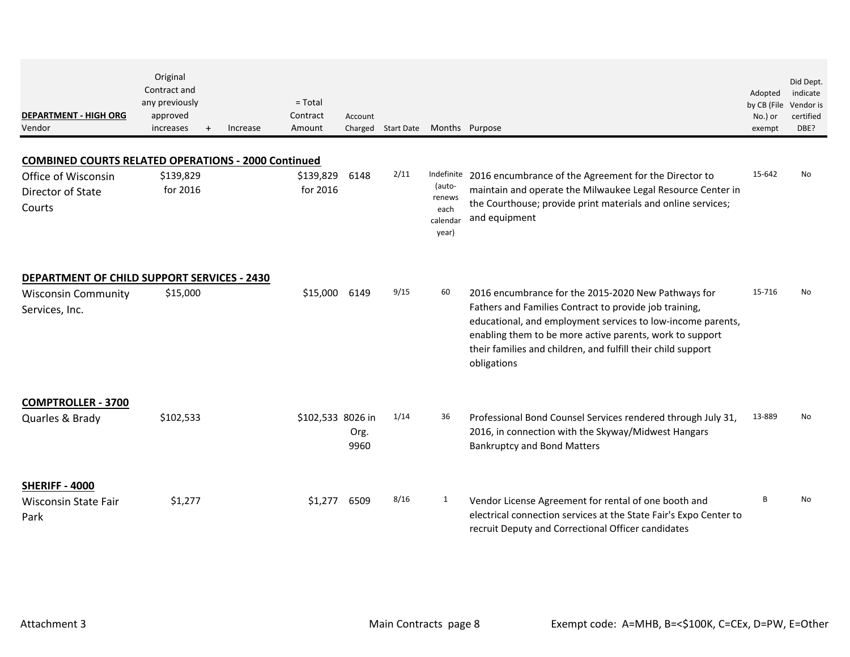| <b>DEPARTMENT - HIGH ORG</b><br>Vendor                     | Original<br>Contract and<br>any previously<br>approved<br>increases<br>$\ddot{}$ | Increase | $=$ Total<br>Contract<br>Amount | Account      | Charged Start Date | Months Purpose                                |                                                                                                                                                                                                                                                                                                                         | Adopted<br>by CB (File<br>No.) or<br>exempt | Did Dept.<br>indicate<br>Vendor is<br>certified<br>DBE? |
|------------------------------------------------------------|----------------------------------------------------------------------------------|----------|---------------------------------|--------------|--------------------|-----------------------------------------------|-------------------------------------------------------------------------------------------------------------------------------------------------------------------------------------------------------------------------------------------------------------------------------------------------------------------------|---------------------------------------------|---------------------------------------------------------|
| <b>COMBINED COURTS RELATED OPERATIONS - 2000 Continued</b> |                                                                                  |          |                                 |              |                    |                                               |                                                                                                                                                                                                                                                                                                                         |                                             |                                                         |
| Office of Wisconsin<br>Director of State<br>Courts         | \$139,829<br>for 2016                                                            |          | \$139,829<br>for 2016           | 6148         | 2/11               | (auto-<br>renews<br>each<br>calendar<br>year) | Indefinite 2016 encumbrance of the Agreement for the Director to<br>maintain and operate the Milwaukee Legal Resource Center in<br>the Courthouse; provide print materials and online services;<br>and equipment                                                                                                        | 15-642                                      | No.                                                     |
| <b>DEPARTMENT OF CHILD SUPPORT SERVICES - 2430</b>         |                                                                                  |          |                                 |              |                    |                                               |                                                                                                                                                                                                                                                                                                                         |                                             |                                                         |
| <b>Wisconsin Community</b><br>Services, Inc.               | \$15,000                                                                         |          | \$15,000                        | 6149         | 9/15               | 60                                            | 2016 encumbrance for the 2015-2020 New Pathways for<br>Fathers and Families Contract to provide job training,<br>educational, and employment services to low-income parents,<br>enabling them to be more active parents, work to support<br>their families and children, and fulfill their child support<br>obligations | 15-716                                      | No                                                      |
| <b>COMPTROLLER - 3700</b>                                  |                                                                                  |          |                                 |              |                    |                                               |                                                                                                                                                                                                                                                                                                                         |                                             |                                                         |
| Quarles & Brady                                            | \$102,533                                                                        |          | \$102,533 8026 in               | Org.<br>9960 | 1/14               | 36                                            | Professional Bond Counsel Services rendered through July 31,<br>2016, in connection with the Skyway/Midwest Hangars<br><b>Bankruptcy and Bond Matters</b>                                                                                                                                                               | 13-889                                      | No                                                      |
| SHERIFF - 4000<br><b>Wisconsin State Fair</b><br>Park      | \$1,277                                                                          |          | \$1,277                         | 6509         | 8/16               | $\mathbf{1}$                                  | Vendor License Agreement for rental of one booth and<br>electrical connection services at the State Fair's Expo Center to<br>recruit Deputy and Correctional Officer candidates                                                                                                                                         | B                                           | No                                                      |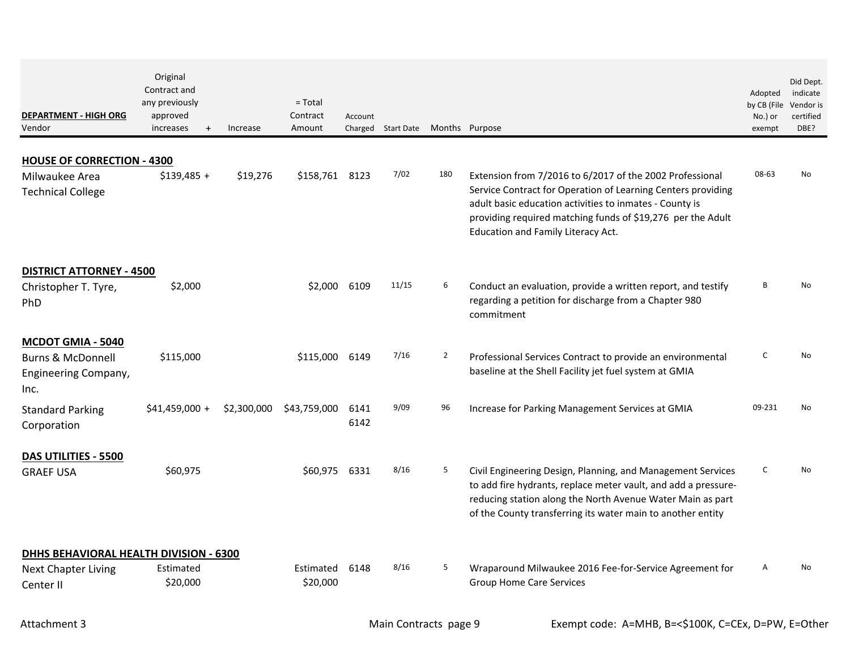| <b>DEPARTMENT - HIGH ORG</b><br>Vendor                                                   | Original<br>Contract and<br>any previously<br>approved<br>increases<br>$+$ | Increase    | $=$ Total<br>Contract<br>Amount | Account      | Charged Start Date Months Purpose |                |                                                                                                                                                                                                                                                            | Adopted<br>by CB (File<br>No.) or<br>exempt | Did Dept.<br>indicate<br>Vendor is<br>certified<br>DBE? |
|------------------------------------------------------------------------------------------|----------------------------------------------------------------------------|-------------|---------------------------------|--------------|-----------------------------------|----------------|------------------------------------------------------------------------------------------------------------------------------------------------------------------------------------------------------------------------------------------------------------|---------------------------------------------|---------------------------------------------------------|
| <b>HOUSE OF CORRECTION - 4300</b><br>Milwaukee Area<br><b>Technical College</b>          | $$139,485 +$                                                               | \$19,276    | \$158,761 8123                  |              | 7/02                              | 180            | Extension from 7/2016 to 6/2017 of the 2002 Professional<br>Service Contract for Operation of Learning Centers providing                                                                                                                                   | 08-63                                       | No                                                      |
|                                                                                          |                                                                            |             |                                 |              |                                   |                | adult basic education activities to inmates - County is<br>providing required matching funds of \$19,276 per the Adult<br>Education and Family Literacy Act.                                                                                               |                                             |                                                         |
| <b>DISTRICT ATTORNEY - 4500</b>                                                          |                                                                            |             |                                 |              |                                   |                |                                                                                                                                                                                                                                                            |                                             |                                                         |
| Christopher T. Tyre,<br>PhD                                                              | \$2,000                                                                    |             | \$2,000                         | 6109         | 11/15                             | 6              | Conduct an evaluation, provide a written report, and testify<br>regarding a petition for discharge from a Chapter 980<br>commitment                                                                                                                        | В                                           | <b>No</b>                                               |
| <b>MCDOT GMIA - 5040</b><br><b>Burns &amp; McDonnell</b><br>Engineering Company,<br>Inc. | \$115,000                                                                  |             | \$115,000                       | 6149         | 7/16                              | $\overline{2}$ | Professional Services Contract to provide an environmental<br>baseline at the Shell Facility jet fuel system at GMIA                                                                                                                                       | $\mathsf{C}$                                | No                                                      |
| <b>Standard Parking</b><br>Corporation                                                   | $$41,459,000 +$                                                            | \$2,300,000 | \$43,759,000                    | 6141<br>6142 | 9/09                              | 96             | Increase for Parking Management Services at GMIA                                                                                                                                                                                                           | 09-231                                      | No                                                      |
| DAS UTILITIES - 5500<br><b>GRAEF USA</b>                                                 | \$60,975                                                                   |             | \$60,975                        | 6331         | 8/16                              | 5              | Civil Engineering Design, Planning, and Management Services<br>to add fire hydrants, replace meter vault, and add a pressure-<br>reducing station along the North Avenue Water Main as part<br>of the County transferring its water main to another entity | C                                           | No                                                      |
| <b>DHHS BEHAVIORAL HEALTH DIVISION - 6300</b><br><b>Next Chapter Living</b><br>Center II | Estimated<br>\$20,000                                                      |             | Estimated<br>\$20,000           | 6148         | 8/16                              | 5              | Wraparound Milwaukee 2016 Fee-for-Service Agreement for<br><b>Group Home Care Services</b>                                                                                                                                                                 | A                                           | No                                                      |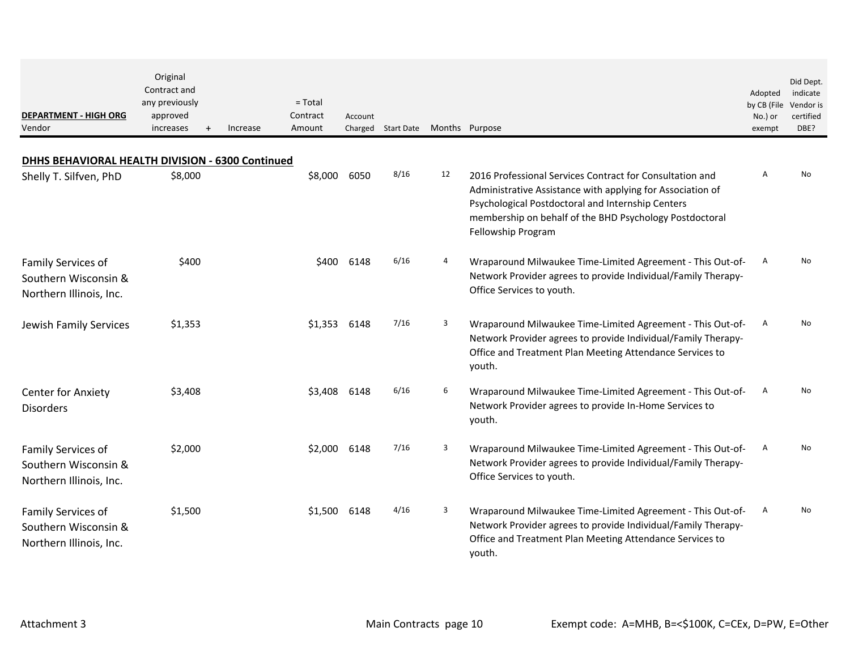| <b>DEPARTMENT - HIGH ORG</b><br>Vendor                                | Original<br>Contract and<br>any previously<br>approved<br>increases | $\ddot{}$ | Increase | $=$ Total<br>Contract<br>Amount | Account | Charged Start Date |    | Months Purpose                                                                                                                                                                                                                                               | Adopted<br>by CB (File<br>No.) or<br>exempt | Did Dept.<br>indicate<br>Vendor is<br>certified<br>DBE? |
|-----------------------------------------------------------------------|---------------------------------------------------------------------|-----------|----------|---------------------------------|---------|--------------------|----|--------------------------------------------------------------------------------------------------------------------------------------------------------------------------------------------------------------------------------------------------------------|---------------------------------------------|---------------------------------------------------------|
| DHHS BEHAVIORAL HEALTH DIVISION - 6300 Continued                      |                                                                     |           |          |                                 |         |                    |    |                                                                                                                                                                                                                                                              |                                             |                                                         |
| Shelly T. Silfven, PhD                                                | \$8,000                                                             |           |          | \$8,000                         | 6050    | 8/16               | 12 | 2016 Professional Services Contract for Consultation and<br>Administrative Assistance with applying for Association of<br>Psychological Postdoctoral and Internship Centers<br>membership on behalf of the BHD Psychology Postdoctoral<br>Fellowship Program | $\mathsf{A}$                                | No                                                      |
| Family Services of<br>Southern Wisconsin &<br>Northern Illinois, Inc. | \$400                                                               |           |          | \$400                           | 6148    | 6/16               | 4  | Wraparound Milwaukee Time-Limited Agreement - This Out-of-<br>Network Provider agrees to provide Individual/Family Therapy-<br>Office Services to youth.                                                                                                     | Α                                           | No.                                                     |
| Jewish Family Services                                                | \$1,353                                                             |           |          | \$1,353                         | 6148    | 7/16               | 3  | Wraparound Milwaukee Time-Limited Agreement - This Out-of-<br>Network Provider agrees to provide Individual/Family Therapy-<br>Office and Treatment Plan Meeting Attendance Services to<br>youth.                                                            | A                                           | No                                                      |
| <b>Center for Anxiety</b><br><b>Disorders</b>                         | \$3,408                                                             |           |          | \$3,408                         | 6148    | 6/16               | 6  | Wraparound Milwaukee Time-Limited Agreement - This Out-of-<br>Network Provider agrees to provide In-Home Services to<br>youth.                                                                                                                               | A                                           | No                                                      |
| Family Services of<br>Southern Wisconsin &<br>Northern Illinois, Inc. | \$2,000                                                             |           |          | \$2,000                         | 6148    | 7/16               | 3  | Wraparound Milwaukee Time-Limited Agreement - This Out-of-<br>Network Provider agrees to provide Individual/Family Therapy-<br>Office Services to youth.                                                                                                     | Α                                           | No                                                      |
| Family Services of<br>Southern Wisconsin &<br>Northern Illinois, Inc. | \$1,500                                                             |           |          | \$1,500                         | 6148    | 4/16               | 3  | Wraparound Milwaukee Time-Limited Agreement - This Out-of-<br>Network Provider agrees to provide Individual/Family Therapy-<br>Office and Treatment Plan Meeting Attendance Services to<br>youth.                                                            | A                                           | No.                                                     |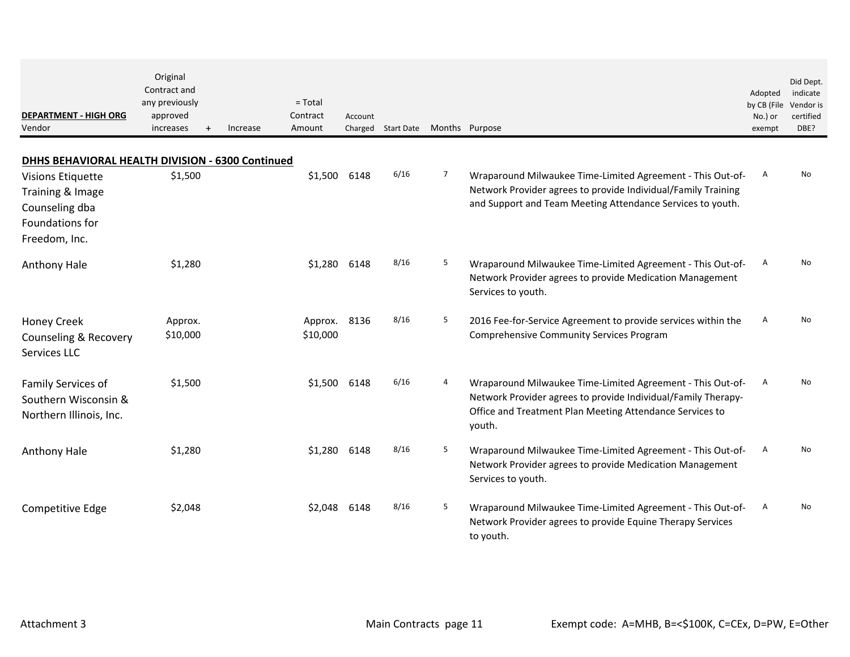| <b>DEPARTMENT - HIGH ORG</b><br>Vendor                                                             | Original<br>Contract and<br>any previously<br>approved<br>increases<br>$\ddot{}$ | Increase | $= Total$<br>Contract<br>Amount | Account | Charged Start Date |   | Months Purpose                                                                                                                                                                                    | Adopted<br>by CB (File<br>No.) or<br>exempt | Did Dept.<br>indicate<br>Vendor is<br>certified<br>DBE? |
|----------------------------------------------------------------------------------------------------|----------------------------------------------------------------------------------|----------|---------------------------------|---------|--------------------|---|---------------------------------------------------------------------------------------------------------------------------------------------------------------------------------------------------|---------------------------------------------|---------------------------------------------------------|
| DHHS BEHAVIORAL HEALTH DIVISION - 6300 Continued                                                   |                                                                                  |          |                                 |         |                    |   |                                                                                                                                                                                                   |                                             |                                                         |
| <b>Visions Etiquette</b><br>Training & Image<br>Counseling dba<br>Foundations for<br>Freedom, Inc. | \$1,500                                                                          |          | \$1,500                         | 6148    | 6/16               | 7 | Wraparound Milwaukee Time-Limited Agreement - This Out-of-<br>Network Provider agrees to provide Individual/Family Training<br>and Support and Team Meeting Attendance Services to youth.         | $\mathsf{A}$                                | No                                                      |
| Anthony Hale                                                                                       | \$1,280                                                                          |          | \$1,280                         | 6148    | 8/16               | 5 | Wraparound Milwaukee Time-Limited Agreement - This Out-of-<br>Network Provider agrees to provide Medication Management<br>Services to youth.                                                      | A                                           | N <sub>0</sub>                                          |
| <b>Honey Creek</b><br>Counseling & Recovery<br>Services LLC                                        | Approx.<br>\$10,000                                                              |          | Approx.<br>\$10,000             | 8136    | 8/16               | 5 | 2016 Fee-for-Service Agreement to provide services within the<br><b>Comprehensive Community Services Program</b>                                                                                  | Α                                           | No                                                      |
| Family Services of<br>Southern Wisconsin &<br>Northern Illinois, Inc.                              | \$1,500                                                                          |          | \$1,500                         | 6148    | 6/16               | 4 | Wraparound Milwaukee Time-Limited Agreement - This Out-of-<br>Network Provider agrees to provide Individual/Family Therapy-<br>Office and Treatment Plan Meeting Attendance Services to<br>youth. | A                                           | No                                                      |
| Anthony Hale                                                                                       | \$1,280                                                                          |          | \$1,280                         | 6148    | 8/16               | 5 | Wraparound Milwaukee Time-Limited Agreement - This Out-of-<br>Network Provider agrees to provide Medication Management<br>Services to youth.                                                      | A                                           | No                                                      |
| Competitive Edge                                                                                   | \$2,048                                                                          |          | \$2.048                         | 6148    | 8/16               | 5 | Wraparound Milwaukee Time-Limited Agreement - This Out-of-<br>Network Provider agrees to provide Equine Therapy Services<br>to youth.                                                             | A                                           | No                                                      |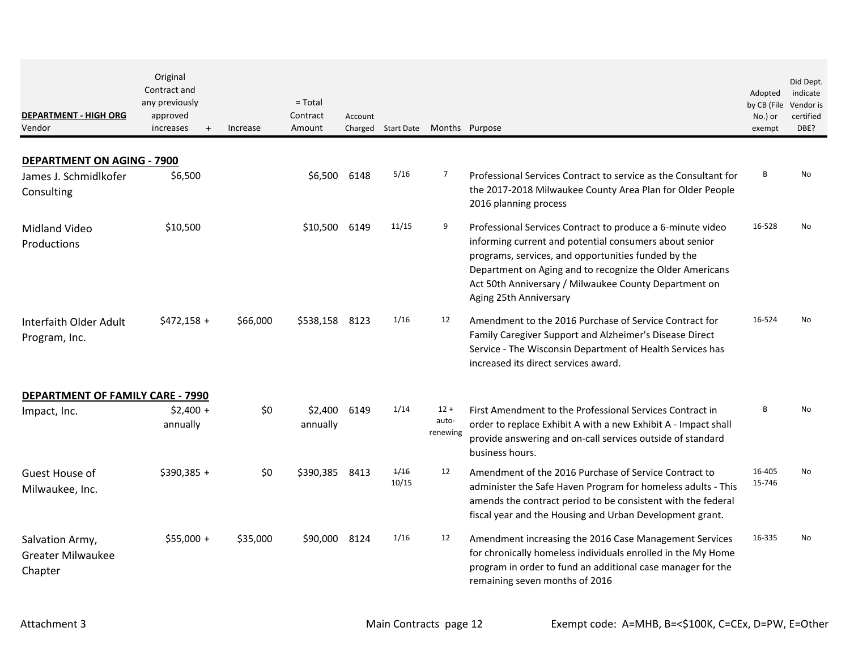| <b>DEPARTMENT - HIGH ORG</b><br>Vendor                                   | Original<br>Contract and<br>any previously<br>approved<br>increases<br>$+$ | Increase | $= Total$<br>Contract<br>Amount | Account | Charged Start Date | Months Purpose              |                                                                                                                                                                                                                                                                                                                            | Adopted<br>by CB (File<br>No.) or<br>exempt | Did Dept.<br>indicate<br>Vendor is<br>certified<br>DBE? |
|--------------------------------------------------------------------------|----------------------------------------------------------------------------|----------|---------------------------------|---------|--------------------|-----------------------------|----------------------------------------------------------------------------------------------------------------------------------------------------------------------------------------------------------------------------------------------------------------------------------------------------------------------------|---------------------------------------------|---------------------------------------------------------|
|                                                                          |                                                                            |          |                                 |         |                    |                             |                                                                                                                                                                                                                                                                                                                            |                                             |                                                         |
| <b>DEPARTMENT ON AGING - 7900</b><br>James J. Schmidlkofer<br>Consulting | \$6,500                                                                    |          | \$6,500                         | 6148    | 5/16               | 7                           | Professional Services Contract to service as the Consultant for<br>the 2017-2018 Milwaukee County Area Plan for Older People<br>2016 planning process                                                                                                                                                                      | B                                           | No                                                      |
| Midland Video<br>Productions                                             | \$10,500                                                                   |          | \$10,500                        | 6149    | 11/15              | 9                           | Professional Services Contract to produce a 6-minute video<br>informing current and potential consumers about senior<br>programs, services, and opportunities funded by the<br>Department on Aging and to recognize the Older Americans<br>Act 50th Anniversary / Milwaukee County Department on<br>Aging 25th Anniversary | 16-528                                      | No.                                                     |
| Interfaith Older Adult<br>Program, Inc.                                  | $$472,158 +$                                                               | \$66,000 | \$538,158                       | 8123    | 1/16               | 12                          | Amendment to the 2016 Purchase of Service Contract for<br>Family Caregiver Support and Alzheimer's Disease Direct<br>Service - The Wisconsin Department of Health Services has<br>increased its direct services award.                                                                                                     | 16-524                                      | No                                                      |
| <b>DEPARTMENT OF FAMILY CARE - 7990</b>                                  |                                                                            |          |                                 |         |                    |                             |                                                                                                                                                                                                                                                                                                                            |                                             |                                                         |
| Impact, Inc.                                                             | $$2,400 +$<br>annually                                                     | \$0      | \$2,400<br>annually             | 6149    | 1/14               | $12 +$<br>auto-<br>renewing | First Amendment to the Professional Services Contract in<br>order to replace Exhibit A with a new Exhibit A - Impact shall<br>provide answering and on-call services outside of standard<br>business hours.                                                                                                                | B                                           | No                                                      |
| Guest House of<br>Milwaukee, Inc.                                        | $$390,385 +$                                                               | \$0      | \$390,385                       | 8413    | 1/16<br>10/15      | 12                          | Amendment of the 2016 Purchase of Service Contract to<br>administer the Safe Haven Program for homeless adults - This<br>amends the contract period to be consistent with the federal<br>fiscal year and the Housing and Urban Development grant.                                                                          | 16-405<br>15-746                            | No                                                      |
| Salvation Army,<br><b>Greater Milwaukee</b><br>Chapter                   | $$55,000 +$                                                                | \$35,000 | \$90,000                        | 8124    | 1/16               | 12                          | Amendment increasing the 2016 Case Management Services<br>for chronically homeless individuals enrolled in the My Home<br>program in order to fund an additional case manager for the<br>remaining seven months of 2016                                                                                                    | 16-335                                      | No                                                      |